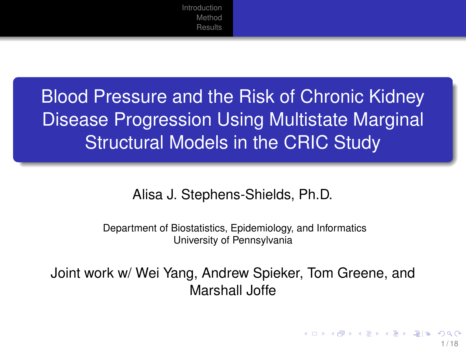# Blood Pressure and the Risk of Chronic Kidney Disease Progression Using Multistate Marginal Structural Models in the CRIC Study

Alisa J. Stephens-Shields, Ph.D.

Department of Biostatistics, Epidemiology, and Informatics University of Pennsylvania

Joint work w/ Wei Yang, Andrew Spieker, Tom Greene, and Marshall Joffe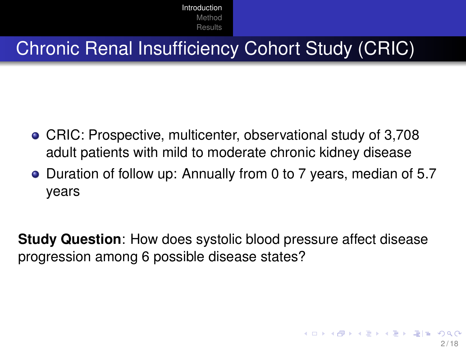## <span id="page-1-0"></span>Chronic Renal Insufficiency Cohort Study (CRIC)

- CRIC: Prospective, multicenter, observational study of 3,708 adult patients with mild to moderate chronic kidney disease
- Duration of follow up: Annually from 0 to 7 years, median of 5.7 years

**Study Question**: How does systolic blood pressure affect disease progression among 6 possible disease states?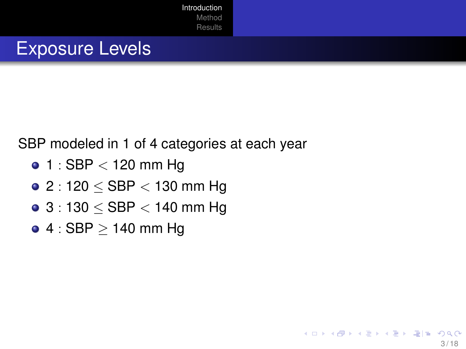#### Exposure Levels

#### SBP modeled in 1 of 4 categories at each year

- $\bullet$  1 : SBP  $<$  120 mm Hg
- $\bullet$  2 : 120  $<$  SBP  $<$  130 mm Hg
- $\bullet$  3 : 130  $\le$  SBP  $<$  140 mm Hg
- $\bullet$  4 : SBP  $\geq$  140 mm Hg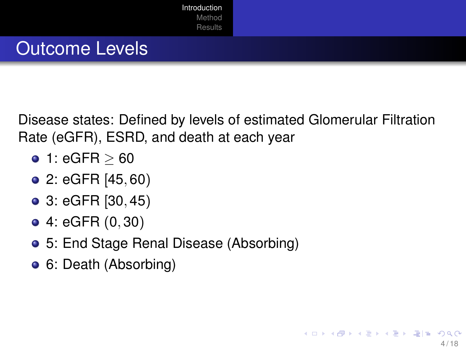

## Outcome Levels

Disease states: Defined by levels of estimated Glomerular Filtration Rate (eGFR), ESRD, and death at each year

- $\bullet$  1: eGFR  $> 60$
- $\bullet$  2: eGFR  $[45, 60)$
- 3: eGFR [30, 45)
- 4: eGFR (0, 30)
- 5: End Stage Renal Disease (Absorbing)
- 6: Death (Absorbing)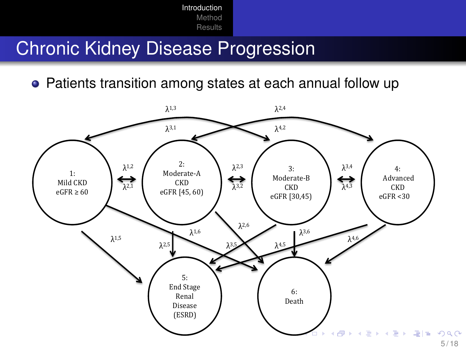#### Chronic Kidney Disease Progression

• Patients transition among states at each annual follow up

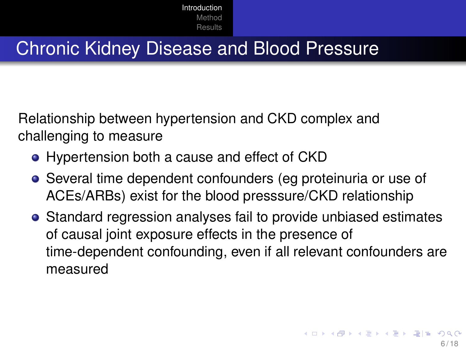#### Chronic Kidney Disease and Blood Pressure

Relationship between hypertension and CKD complex and challenging to measure

- Hypertension both a cause and effect of CKD
- Several time dependent confounders (eg proteinuria or use of ACEs/ARBs) exist for the blood presssure/CKD relationship
- Standard regression analyses fail to provide unbiased estimates of causal joint exposure effects in the presence of time-dependent confounding, even if all relevant confounders are measured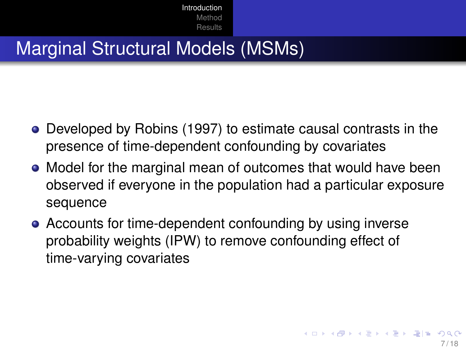#### Marginal Structural Models (MSMs)

- Developed by Robins (1997) to estimate causal contrasts in the presence of time-dependent confounding by covariates
- Model for the marginal mean of outcomes that would have been observed if everyone in the population had a particular exposure sequence
- Accounts for time-dependent confounding by using inverse probability weights (IPW) to remove confounding effect of time-varying covariates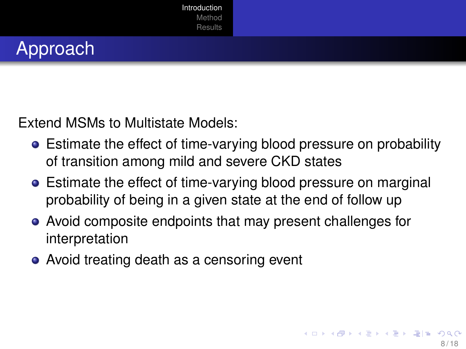



Extend MSMs to Multistate Models:

- Estimate the effect of time-varying blood pressure on probability of transition among mild and severe CKD states
- Estimate the effect of time-varying blood pressure on marginal probability of being in a given state at the end of follow up
- Avoid composite endpoints that may present challenges for interpretation
- Avoid treating death as a censoring event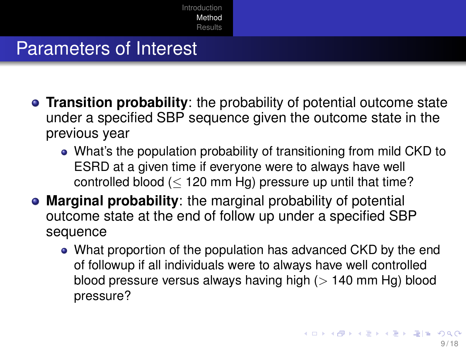### <span id="page-8-0"></span>Parameters of Interest

- **Transition probability**: the probability of potential outcome state under a specified SBP sequence given the outcome state in the previous year
	- What's the population probability of transitioning from mild CKD to ESRD at a given time if everyone were to always have well controlled blood  $(< 120 \text{ mm Hg})$  pressure up until that time?
- **Marginal probability**: the marginal probability of potential outcome state at the end of follow up under a specified SBP sequence
	- What proportion of the population has advanced CKD by the end of followup if all individuals were to always have well controlled blood pressure versus always having high  $(> 140 \text{ mm Hg})$  blood pressure?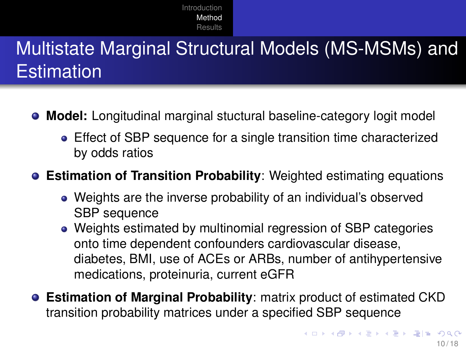# <span id="page-9-0"></span>Multistate Marginal Structural Models (MS-MSMs) and **Estimation**

- **Model:** Longitudinal marginal stuctural baseline-category logit model
	- Effect of SBP sequence for a single transition time characterized by odds ratios

#### **Estimation of Transition Probability**: Weighted estimating equations

- Weights are the inverse probability of an individual's observed SBP sequence
- Weights estimated by multinomial regression of SBP categories onto time dependent confounders cardiovascular disease, diabetes, BMI, use of ACEs or ARBs, number of antihypertensive medications, proteinuria, current eGFR
- **Estimation of Marginal Probability**: matrix product of estimated CKD transition probability matrices under a specified SBP sequence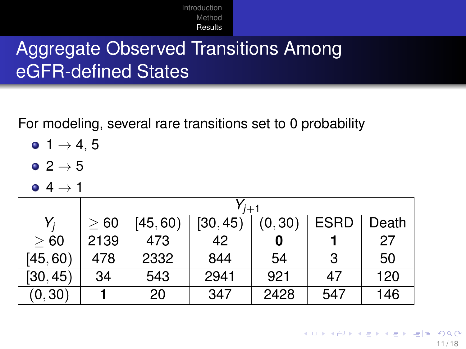## <span id="page-10-0"></span>Aggregate Observed Transitions Among eGFR-defined States

For modeling, several rare transitions set to 0 probability

- $0, 1 \rightarrow 4, 5$
- $\bullet$  2  $\rightarrow$  5
- $\bullet$  4  $\rightarrow$  1

|          | $\mathsf{v}_{j+1}$ |         |          |        |             |       |  |  |
|----------|--------------------|---------|----------|--------|-------------|-------|--|--|
|          | > 60               | [45,60] | [30, 45] | (0,30) | <b>ESRD</b> | Death |  |  |
| > 60     | 2139               | 473     | 42       |        |             | 27    |  |  |
| [45, 60) | 478                | 2332    | 844      | 54     | 3           | 50    |  |  |
| [30, 45) | 34                 | 543     | 2941     | 921    | 47          | 120   |  |  |
| (0, 30)  |                    | 20      | 347      | 2428   | 547         | 146   |  |  |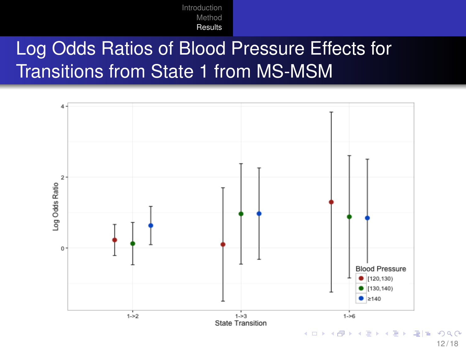# Log Odds Ratios of Blood Pressure Effects for Transitions from State 1 from MS-MSM



12 / 18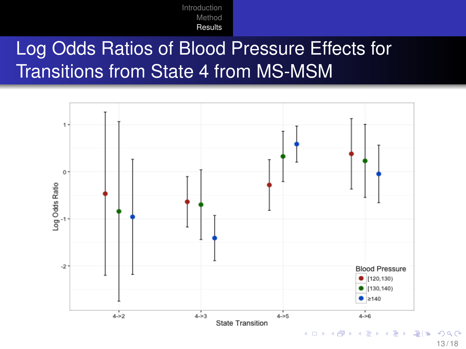# Log Odds Ratios of Blood Pressure Effects for Transitions from State 4 from MS-MSM



13 / 18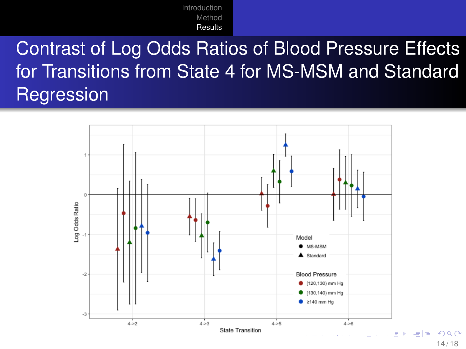Contrast of Log Odds Ratios of Blood Pressure Effects for Transitions from State 4 for MS-MSM and Standard **Regression** 

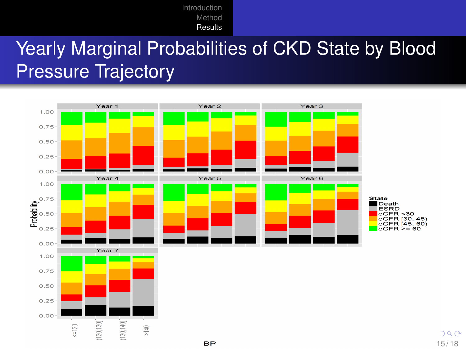# <span id="page-14-0"></span>Yearly Marginal Probabilities of CKD State by Blood Pressure Trajectory



15 / 18

 $290$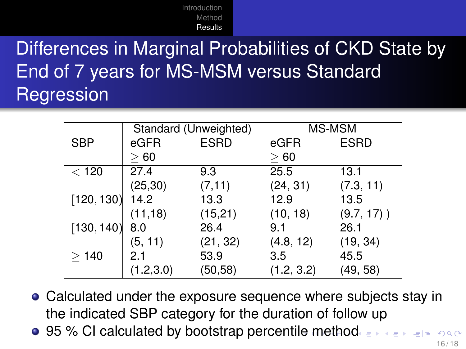# <span id="page-15-0"></span>Differences in Marginal Probabilities of CKD State by End of 7 years for MS-MSM versus Standard **Regression**

|            |            | Standard (Unweighted) | MS-MSM     |               |  |
|------------|------------|-----------------------|------------|---------------|--|
| <b>SBP</b> | eGFR       | <b>ESRD</b>           | eGFR       | <b>ESRD</b>   |  |
|            | >60        |                       | >60        |               |  |
| $<$ 120    | 27.4       | 9.3                   | 25.5       | 13.1          |  |
|            | (25, 30)   | (7, 11)               | (24, 31)   | (7.3, 11)     |  |
| [120, 130] | 14.2       | 13.3                  | 12.9       | 13.5          |  |
|            | (11, 18)   | (15,21)               | (10, 18)   | $(9.7, 17)$ ) |  |
| [130, 140] | 8.0        | 26.4                  | 9.1        | 26.1          |  |
|            | (5, 11)    | (21, 32)              | (4.8, 12)  | (19, 34)      |  |
| >140       | 2.1        | 53.9                  | 3.5        | 45.5          |  |
|            | (1.2, 3.0) | (50,58)               | (1.2, 3.2) | (49, 58)      |  |

- Calculated under the exposure sequence where subjects stay in the indicated SBP category for the duration of follow up
- **95 % CI calculat[e](#page-14-0)d by bootstrap percentile [me](#page-16-0)[t](#page-14-0)[ho](#page-15-0)[d](#page-16-0)es A Republic Procentile methodes A Republic Procentile method.**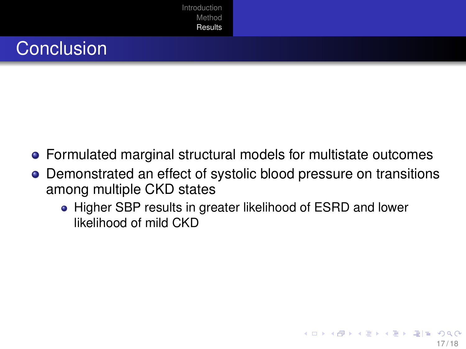

<span id="page-16-0"></span>

- Formulated marginal structural models for multistate outcomes
- Demonstrated an effect of systolic blood pressure on transitions among multiple CKD states
	- Higher SBP results in greater likelihood of ESRD and lower likelihood of mild CKD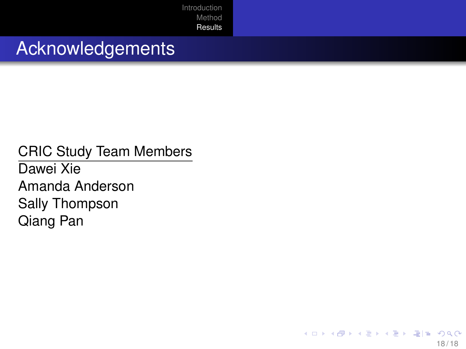#### Acknowledgements

CRIC Study Team Members Dawei Xie Amanda Anderson Sally Thompson Qiang Pan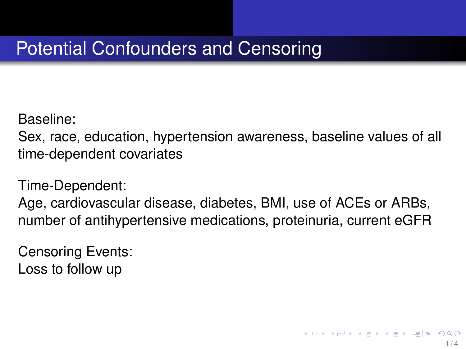## Potential Confounders and Censoring

Baseline:

Sex, race, education, hypertension awareness, baseline values of all time-dependent covariates

Time-Dependent:

Age, cardiovascular disease, diabetes, BMI, use of ACEs or ARBs, number of antihypertensive medications, proteinuria, current eGFR

Censoring Events: Loss to follow up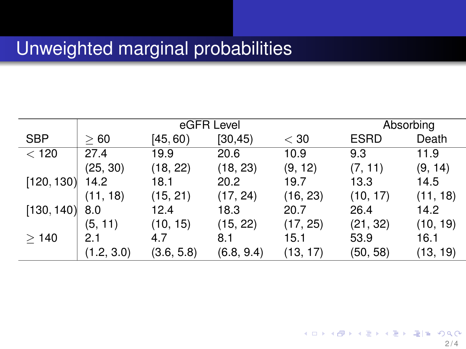#### Unweighted marginal probabilities

|                   | eGFR Level |            |            |          | Absorbing   |          |
|-------------------|------------|------------|------------|----------|-------------|----------|
| <b>SBP</b>        | >60        | [45, 60)   | [30, 45)   | $<$ 30   | <b>ESRD</b> | Death    |
| < 120             | 27.4       | 19.9       | 20.6       | 10.9     | 9.3         | 11.9     |
|                   | (25, 30)   | (18, 22)   | (18, 23)   | (9, 12)  | (7, 11)     | (9, 14)  |
| $[120, 130]$ 14.2 |            | 18.1       | 20.2       | 19.7     | 13.3        | 14.5     |
|                   | (11, 18)   | (15, 21)   | (17, 24)   | (16, 23) | (10, 17)    | (11, 18) |
| $[130, 140]$ 8.0  |            | 12.4       | 18.3       | 20.7     | 26.4        | 14.2     |
|                   | (5, 11)    | (10, 15)   | (15, 22)   | (17, 25) | (21, 32)    | (10, 19) |
| >140              | 2.1        | 4.7        | 8.1        | 15.1     | 53.9        | 16.1     |
|                   | (1.2, 3.0) | (3.6, 5.8) | (6.8, 9.4) | (13, 17) | (50, 58)    | (13, 19) |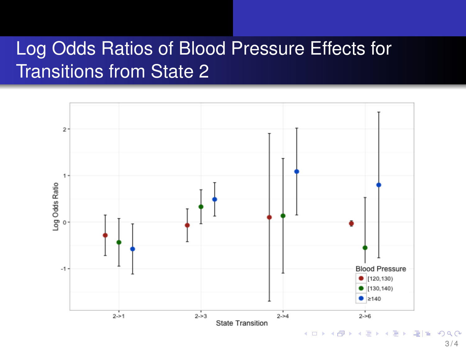## Log Odds Ratios of Blood Pressure Effects for Transitions from State 2



 $3/4$